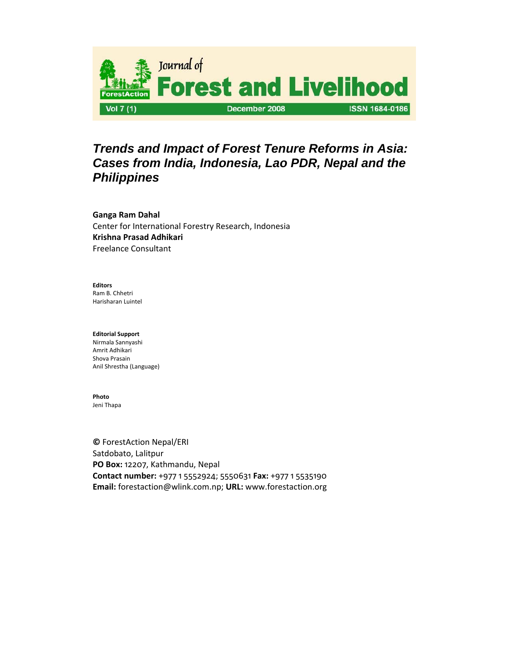

# *Trends and Impact of Forest Tenure Reforms in Asia: Cases from India, Indonesia, Lao PDR, Nepal and the Philippines*

**Ganga Ram Dahal** Center for International Forestry Research, Indonesia **Krishna Prasad Adhikari** Freelance Consultant

**Editors**

Ram B. Chhetri Harisharan Luintel

### **Editorial Support**

Nirmala Sannyashi Amrit Adhikari Shova Prasain Anil Shrestha (Language)

# **Photo**

Jeni Thapa

**©** ForestAction Nepal/ERI Satdobato, Lalitpur **PO Box:** 12207, Kathmandu, Nepal **Contact number:** +977 1 5552924; 5550631 **Fax:** +977 1 5535190 **Email:** forestaction@wlink.com.np; **URL:** www.forestaction.org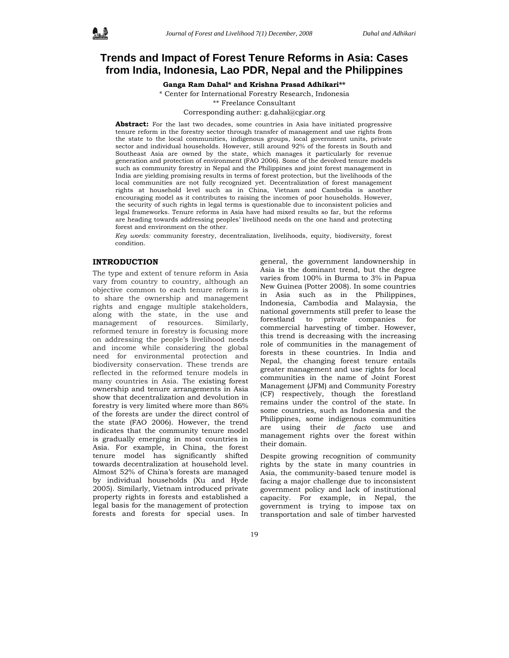# **Trends and Impact of Forest Tenure Reforms in Asia: Cases from India, Indonesia, Lao PDR, Nepal and the Philippines**

**Ganga Ram Dahal\* and Krishna Prasad Adhikari\*\*** 

\* Center for International Forestry Research, Indonesia \*\* Freelance Consultant Corresponding auther: g.dahal@cgiar.org

**Abstract:** For the last two decades, some countries in Asia have initiated progressive tenure reform in the forestry sector through transfer of management and use rights from the state to the local communities, indigenous groups, local government units, private sector and individual households. However, still around 92% of the forests in South and Southeast Asia are owned by the state, which manages it particularly for revenue generation and protection of environment (FAO 2006). Some of the devolved tenure models such as community forestry in Nepal and the Philippines and joint forest management in India are yielding promising results in terms of forest protection, but the livelihoods of the local communities are not fully recognized yet. Decentralization of forest management rights at household level such as in China, Vietnam and Cambodia is another encouraging model as it contributes to raising the incomes of poor households. However, the security of such rights in legal terms is questionable due to inconsistent policies and legal frameworks. Tenure reforms in Asia have had mixed results so far, but the reforms are heading towards addressing peoples' livelihood needs on the one hand and protecting forest and environment on the other.

*Key words:* community forestry, decentralization, livelihoods, equity, biodiversity, forest condition.

## **INTRODUCTION**

The type and extent of tenure reform in Asia vary from country to country, although an objective common to each tenure reform is to share the ownership and management rights and engage multiple stakeholders, along with the state, in the use and management of resources. Similarly, reformed tenure in forestry is focusing more on addressing the people's livelihood needs and income while considering the global need for environmental protection and biodiversity conservation. These trends are reflected in the reformed tenure models in many countries in Asia. The existing forest ownership and tenure arrangements in Asia show that decentralization and devolution in forestry is very limited where more than 86% of the forests are under the direct control of the state (FAO 2006). However, the trend indicates that the community tenure model is gradually emerging in most countries in Asia. For example, in China, the forest tenure model has significantly shifted towards decentralization at household level. Almost 52% of China's forests are managed by individual households (Xu and Hyde 2005). Similarly, Vietnam introduced private property rights in forests and established a legal basis for the management of protection forests and forests for special uses. In

general, the government landownership in Asia is the dominant trend, but the degree varies from 100% in Burma to 3% in Papua New Guinea (Potter 2008). In some countries in Asia such as in the Philippines, Indonesia, Cambodia and Malaysia, the national governments still prefer to lease the forestland to private companies for commercial harvesting of timber. However, this trend is decreasing with the increasing role of communities in the management of forests in these countries. In India and Nepal, the changing forest tenure entails greater management and use rights for local communities in the name of Joint Forest Management (JFM) and Community Forestry (CF) respectively, though the forestland remains under the control of the state. In some countries, such as Indonesia and the Philippines, some indigenous communities are using their *de facto* use and management rights over the forest within their domain.

Despite growing recognition of community rights by the state in many countries in Asia, the community-based tenure model is facing a major challenge due to inconsistent government policy and lack of institutional capacity. For example, in Nepal, the government is trying to impose tax on transportation and sale of timber harvested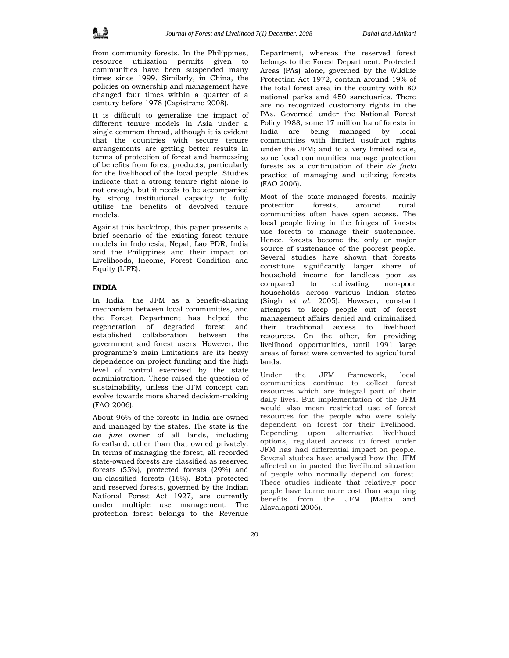from community forests. In the Philippines, resource utilization permits given to communities have been suspended many times since 1999. Similarly, in China, the policies on ownership and management have changed four times within a quarter of a century before 1978 (Capistrano 2008).

It is difficult to generalize the impact of different tenure models in Asia under a single common thread, although it is evident that the countries with secure tenure arrangements are getting better results in terms of protection of forest and harnessing of benefits from forest products, particularly for the livelihood of the local people. Studies indicate that a strong tenure right alone is not enough, but it needs to be accompanied by strong institutional capacity to fully utilize the benefits of devolved tenure models.

Against this backdrop, this paper presents a brief scenario of the existing forest tenure models in Indonesia, Nepal, Lao PDR, India and the Philippines and their impact on Livelihoods, Income, Forest Condition and Equity (LIFE).

# **INDIA**

In India, the JFM as a benefit-sharing mechanism between local communities, and the Forest Department has helped the regeneration of degraded forest and established collaboration between the government and forest users. However, the programme's main limitations are its heavy dependence on project funding and the high level of control exercised by the state administration. These raised the question of sustainability, unless the JFM concept can evolve towards more shared decision-making (FAO 2006).

About 96% of the forests in India are owned and managed by the states. The state is the *de jure* owner of all lands, including forestland, other than that owned privately. In terms of managing the forest, all recorded state-owned forests are classified as reserved forests (55%), protected forests (29%) and un-classified forests (16%). Both protected and reserved forests, governed by the Indian National Forest Act 1927, are currently under multiple use management. The protection forest belongs to the Revenue

are no recognized customary rights in the PAs. Governed under the National Forest Policy 1988, some 17 million ha of forests in India are being managed by local communities with limited usufruct rights under the JFM; and to a very limited scale, some local communities manage protection forests as a continuation of their *de facto*  practice of managing and utilizing forests (FAO 2006).

Most of the state-managed forests, mainly protection forests, around rural communities often have open access. The local people living in the fringes of forests use forests to manage their sustenance. Hence, forests become the only or major source of sustenance of the poorest people. Several studies have shown that forests constitute significantly larger share of household income for landless poor as compared to cultivating non-poor households across various Indian states (Singh *et al.* 2005). However, constant attempts to keep people out of forest management affairs denied and criminalized their traditional access to livelihood resources. On the other, for providing livelihood opportunities, until 1991 large areas of forest were converted to agricultural lands.

Under the JFM framework, local communities continue to collect forest resources which are integral part of their daily lives. But implementation of the JFM would also mean restricted use of forest resources for the people who were solely dependent on forest for their livelihood. Depending upon alternative livelihood options, regulated access to forest under JFM has had differential impact on people. Several studies have analysed how the JFM affected or impacted the livelihood situation of people who normally depend on forest. These studies indicate that relatively poor people have borne more cost than acquiring benefits from the JFM (Matta and Alavalapati 2006).

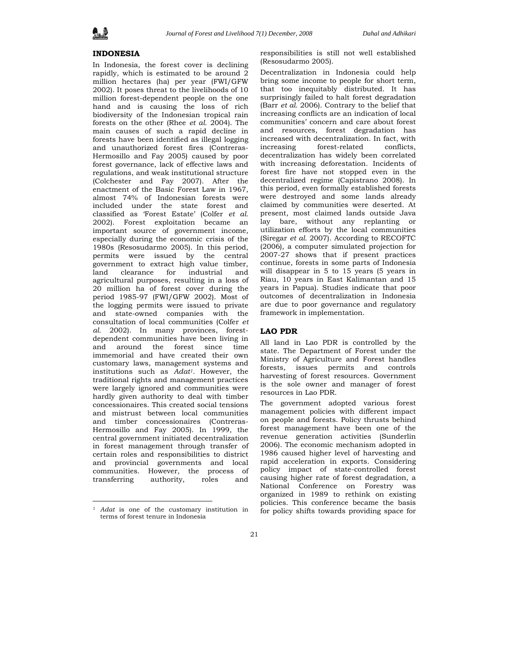# **INDONESIA**

In Indonesia, the forest cover is declining rapidly, which is estimated to be around 2 million hectares (ha) per year (FWI/GFW 2002). It poses threat to the livelihoods of 10 million forest-dependent people on the one hand and is causing the loss of rich biodiversity of the Indonesian tropical rain forests on the other (Rhee *et al.* 2004). The main causes of such a rapid decline in forests have been identified as illegal logging and unauthorized forest fires (Contreras-Hermosillo and Fay 2005) caused by poor forest governance, lack of effective laws and regulations, and weak institutional structure (Colchester and Fay 2007). After the enactment of the Basic Forest Law in 1967, almost 74% of Indonesian forests were included under the state forest and classified as 'Forest Estate' (Colfer *et al.* 2002). Forest exploitation became an important source of government income, especially during the economic crisis of the 1980s (Resosudarmo 2005). In this period, permits were issued by the central government to extract high value timber, land clearance for industrial and agricultural purposes, resulting in a loss of 20 million ha of forest cover during the period 1985-97 (FWI/GFW 2002). Most of the logging permits were issued to private and state-owned companies with the consultation of local communities (Colfer *et al.* 2002). In many provinces, forestdependent communities have been living in and around the forest since time immemorial and have created their own customary laws, management systems and institutions such as *Adat1.* However, the traditional rights and management practices were largely ignored and communities were hardly given authority to deal with timber concessionaires. This created social tensions and mistrust between local communities and timber concessionaires (Contreras-Hermosillo and Fay 2005). In 1999, the central government initiated decentralization in forest management through transfer of certain roles and responsibilities to district and provincial governments and local communities. However, the process of transferring authority, roles and

 $\overline{a}$ 

responsibilities is still not well established (Resosudarmo 2005).

Decentralization in Indonesia could help bring some income to people for short term, that too inequitably distributed. It has surprisingly failed to halt forest degradation (Barr *et al.* 2006). Contrary to the belief that increasing conflicts are an indication of local communities' concern and care about forest and resources, forest degradation has increased with decentralization. In fact, with increasing forest-related conflicts, decentralization has widely been correlated with increasing deforestation. Incidents of forest fire have not stopped even in the decentralized regime (Capistrano 2008). In this period, even formally established forests were destroyed and some lands already claimed by communities were deserted. At present, most claimed lands outside Java lay bare, without any replanting or utilization efforts by the local communities (Siregar *et al.* 2007). According to RECOFTC (2006), a computer simulated projection for 2007-27 shows that if present practices continue, forests in some parts of Indonesia will disappear in 5 to 15 years (5 years in Riau, 10 years in East Kalimantan and 15 years in Papua). Studies indicate that poor outcomes of decentralization in Indonesia are due to poor governance and regulatory framework in implementation.

### **LAO PDR**

All land in Lao PDR is controlled by the state. The Department of Forest under the Ministry of Agriculture and Forest handles forests, issues permits and controls harvesting of forest resources. Government is the sole owner and manager of forest resources in Lao PDR.

The government adopted various forest management policies with different impact on people and forests. Policy thrusts behind forest management have been one of the revenue generation activities (Sunderlin 2006). The economic mechanism adopted in 1986 caused higher level of harvesting and rapid acceleration in exports. Considering policy impact of state-controlled forest causing higher rate of forest degradation, a National Conference on Forestry was organized in 1989 to rethink on existing policies. This conference became the basis for policy shifts towards providing space for

<sup>1</sup> *Adat* is one of the customary institution in terms of forest tenure in Indonesia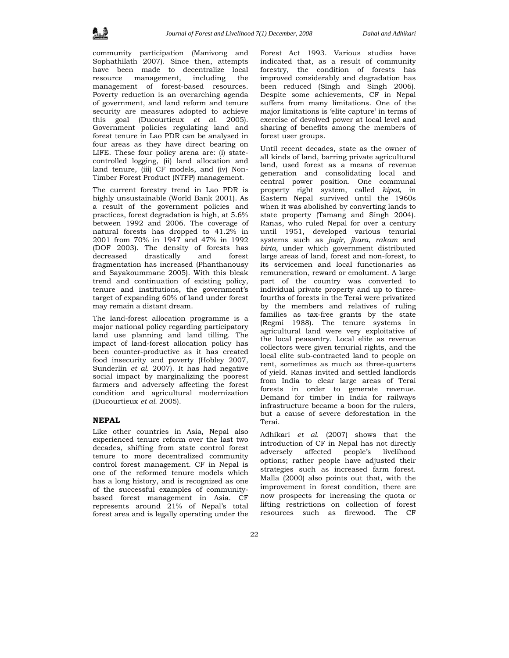community participation (Manivong and Sophathilath 2007). Since then, attempts have been made to decentralize local resource management, including the management of forest-based resources. Poverty reduction is an overarching agenda of government, and land reform and tenure security are measures adopted to achieve this goal (Ducourtieux *et al.* 2005). Government policies regulating land and forest tenure in Lao PDR can be analysed in four areas as they have direct bearing on LIFE. These four policy arena are: (i) statecontrolled logging, (ii) land allocation and land tenure, (iii) CF models, and (iv) Non-Timber Forest Product (NTFP) management.

The current forestry trend in Lao PDR is highly unsustainable (World Bank 2001). As a result of the government policies and practices, forest degradation is high, at 5.6% between 1992 and 2006. The coverage of natural forests has dropped to 41.2% in 2001 from 70% in 1947 and 47% in 1992 (DOF 2003). The density of forests has decreased drastically and forest fragmentation has increased (Phanthanousy and Sayakoummane 2005). With this bleak trend and continuation of existing policy, tenure and institutions, the government's target of expanding 60% of land under forest may remain a distant dream.

The land-forest allocation programme is a major national policy regarding participatory land use planning and land tilling. The impact of land-forest allocation policy has been counter-productive as it has created food insecurity and poverty (Hobley 2007, Sunderlin *et al.* 2007). It has had negative social impact by marginalizing the poorest farmers and adversely affecting the forest condition and agricultural modernization (Ducourtieux *et al.* 2005).

## **NEPAL**

Like other countries in Asia, Nepal also experienced tenure reform over the last two decades, shifting from state control forest tenure to more decentralized community control forest management. CF in Nepal is one of the reformed tenure models which has a long history, and is recognized as one of the successful examples of communitybased forest management in Asia. CF represents around 21% of Nepal's total forest area and is legally operating under the Forest Act 1993. Various studies have indicated that, as a result of community forestry, the condition of forests has improved considerably and degradation has been reduced (Singh and Singh 2006). Despite some achievements, CF in Nepal suffers from many limitations. One of the major limitations is 'elite capture' in terms of exercise of devolved power at local level and sharing of benefits among the members of forest user groups.

Until recent decades, state as the owner of all kinds of land, barring private agricultural land, used forest as a means of revenue generation and consolidating local and central power position. One communal property right system, called *kipat,* in Eastern Nepal survived until the 1960s when it was abolished by converting lands to state property (Tamang and Singh 2004). Ranas, who ruled Nepal for over a century until 1951, developed various tenurial systems such as *jagir, jhara, rakam* and *birta,* under which government distributed large areas of land, forest and non-forest, to its servicemen and local functionaries as remuneration, reward or emolument. A large part of the country was converted to individual private property and up to threefourths of forests in the Terai were privatized by the members and relatives of ruling families as tax-free grants by the state (Regmi 1988). The tenure systems in agricultural land were very exploitative of the local peasantry. Local elite as revenue collectors were given tenurial rights, and the local elite sub-contracted land to people on rent, sometimes as much as three-quarters of yield. Ranas invited and settled landlords from India to clear large areas of Terai forests in order to generate revenue. Demand for timber in India for railways infrastructure became a boon for the rulers, but a cause of severe deforestation in the Terai.

Adhikari *et al.* (2007) shows that the introduction of CF in Nepal has not directly adversely affected people's livelihood options; rather people have adjusted their strategies such as increased farm forest. Malla (2000) also points out that, with the improvement in forest condition, there are now prospects for increasing the quota or lifting restrictions on collection of forest resources such as firewood. The CF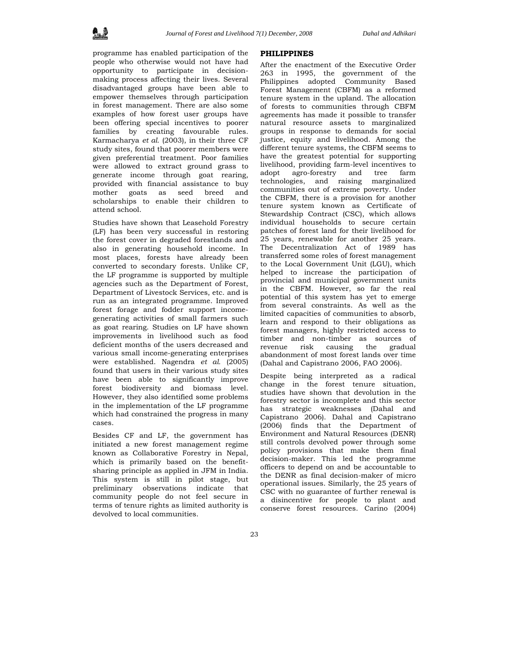programme has enabled participation of the people who otherwise would not have had opportunity to participate in decisionmaking process affecting their lives. Several disadvantaged groups have been able to empower themselves through participation in forest management. There are also some examples of how forest user groups have been offering special incentives to poorer families by creating favourable rules. Karmacharya *et al.* (2003), in their three CF study sites, found that poorer members were given preferential treatment. Poor families were allowed to extract ground grass to generate income through goat rearing, provided with financial assistance to buy mother goats as seed breed and scholarships to enable their children to attend school.

Studies have shown that Leasehold Forestry (LF) has been very successful in restoring the forest cover in degraded forestlands and also in generating household income. In most places, forests have already been converted to secondary forests. Unlike CF, the LF programme is supported by multiple agencies such as the Department of Forest, Department of Livestock Services, etc. and is run as an integrated programme. Improved forest forage and fodder support incomegenerating activities of small farmers such as goat rearing. Studies on LF have shown improvements in livelihood such as food deficient months of the users decreased and various small income-generating enterprises were established. Nagendra *et al.* (2005) found that users in their various study sites have been able to significantly improve forest biodiversity and biomass level. However, they also identified some problems in the implementation of the LF programme which had constrained the progress in many cases.

Besides CF and LF, the government has initiated a new forest management regime known as Collaborative Forestry in Nepal, which is primarily based on the benefitsharing principle as applied in JFM in India. This system is still in pilot stage, but preliminary observations indicate that community people do not feel secure in terms of tenure rights as limited authority is devolved to local communities.

#### **PHILIPPINES**

After the enactment of the Executive Order 263 in 1995, the government of the Philippines adopted Community Based Forest Management (CBFM) as a reformed tenure system in the upland. The allocation of forests to communities through CBFM agreements has made it possible to transfer natural resource assets to marginalized groups in response to demands for social justice, equity and livelihood. Among the different tenure systems, the CBFM seems to have the greatest potential for supporting livelihood, providing farm-level incentives to adopt agro-forestry and tree farm technologies, and raising marginalized communities out of extreme poverty. Under the CBFM, there is a provision for another tenure system known as Certificate of Stewardship Contract (CSC), which allows individual households to secure certain patches of forest land for their livelihood for 25 years, renewable for another 25 years. The Decentralization Act of 1989 has transferred some roles of forest management to the Local Government Unit (LGU), which helped to increase the participation of provincial and municipal government units in the CBFM. However, so far the real potential of this system has yet to emerge from several constraints. As well as the limited capacities of communities to absorb, learn and respond to their obligations as forest managers, highly restricted access to timber and non-timber as sources of revenue risk causing the gradual abandonment of most forest lands over time (Dahal and Capistrano 2006, FAO 2006).

Despite being interpreted as a radical change in the forest tenure situation, studies have shown that devolution in the forestry sector is incomplete and this sector has strategic weaknesses (Dahal and Capistrano 2006). Dahal and Capistrano (2006) finds that the Department of Environment and Natural Resources (DENR) still controls devolved power through some policy provisions that make them final decision-maker. This led the programme officers to depend on and be accountable to the DENR as final decision-maker of micro operational issues. Similarly, the 25 years of CSC with no guarantee of further renewal is a disincentive for people to plant and conserve forest resources. Carino (2004)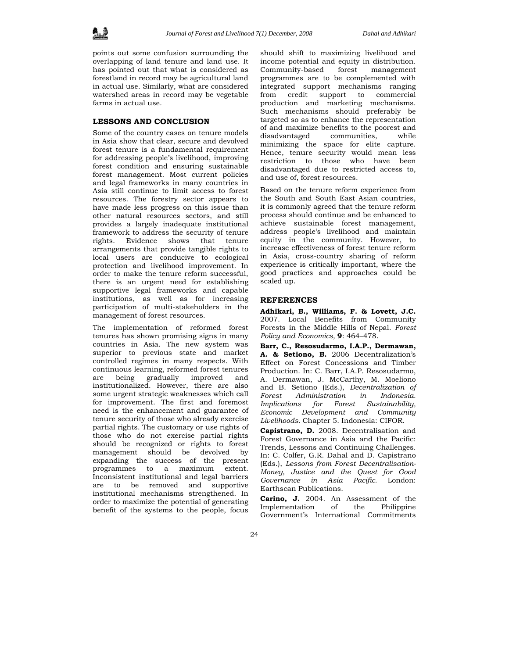points out some confusion surrounding the overlapping of land tenure and land use. It has pointed out that what is considered as forestland in record may be agricultural land in actual use. Similarly, what are considered watershed areas in record may be vegetable farms in actual use.

#### **LESSONS AND CONCLUSION**

Some of the country cases on tenure models in Asia show that clear, secure and devolved forest tenure is a fundamental requirement for addressing people's livelihood, improving forest condition and ensuring sustainable forest management. Most current policies and legal frameworks in many countries in Asia still continue to limit access to forest resources. The forestry sector appears to have made less progress on this issue than other natural resources sectors, and still provides a largely inadequate institutional framework to address the security of tenure rights. Evidence shows that tenure arrangements that provide tangible rights to local users are conducive to ecological protection and livelihood improvement. In order to make the tenure reform successful, there is an urgent need for establishing supportive legal frameworks and capable institutions, as well as for increasing participation of multi-stakeholders in the management of forest resources.

The implementation of reformed forest tenures has shown promising signs in many countries in Asia. The new system was superior to previous state and market controlled regimes in many respects. With continuous learning, reformed forest tenures are being gradually improved and institutionalized. However, there are also some urgent strategic weaknesses which call for improvement. The first and foremost need is the enhancement and guarantee of tenure security of those who already exercise partial rights. The customary or use rights of those who do not exercise partial rights should be recognized or rights to forest management should be devolved by expanding the success of the present programmes to a maximum extent. Inconsistent institutional and legal barriers are to be removed and supportive institutional mechanisms strengthened. In order to maximize the potential of generating benefit of the systems to the people, focus

should shift to maximizing livelihood and income potential and equity in distribution. Community-based forest management programmes are to be complemented with integrated support mechanisms ranging from credit support to commercial production and marketing mechanisms. Such mechanisms should preferably be targeted so as to enhance the representation of and maximize benefits to the poorest and disadvantaged communities, while minimizing the space for elite capture. Hence, tenure security would mean less restriction to those who have been disadvantaged due to restricted access to, and use of, forest resources.

Based on the tenure reform experience from the South and South East Asian countries, it is commonly agreed that the tenure reform process should continue and be enhanced to achieve sustainable forest management, address people's livelihood and maintain equity in the community. However, to increase effectiveness of forest tenure reform in Asia, cross-country sharing of reform experience is critically important, where the good practices and approaches could be scaled up.

### **REFERENCES**

**Adhikari, B., Williams, F. & Lovett, J.C.** 2007. Local Benefits from Community Forests in the Middle Hills of Nepal. *Forest Policy and Economics,* **9**: 464–478.

**Barr, C., Resosudarmo, I.A.P., Dermawan, A. & Setiono, B.** 2006 Decentralization's Effect on Forest Concessions and Timber Production. In: C. Barr, I.A.P. Resosudarmo, A. Dermawan, J. McCarthy, M. Moeliono and B. Setiono (Eds.), *Decentralization of Forest Administration in Indonesia. Implications for Forest Sustainability, Economic Development and Community Livelihoods.* Chapter 5. Indonesia: CIFOR.

**Capistrano, D.** 2008. Decentralisation and Forest Governance in Asia and the Pacific: Trends, Lessons and Continuing Challenges. In: C. Colfer, G.R. Dahal and D. Capistrano (Eds.), *Lessons from Forest Decentralisation-Money, Justice and the Quest for Good Governance in Asia Pacific.* London: Earthscan Publications.

**Carino, J.** 2004. An Assessment of the Implementation of the Philippine Government's International Commitments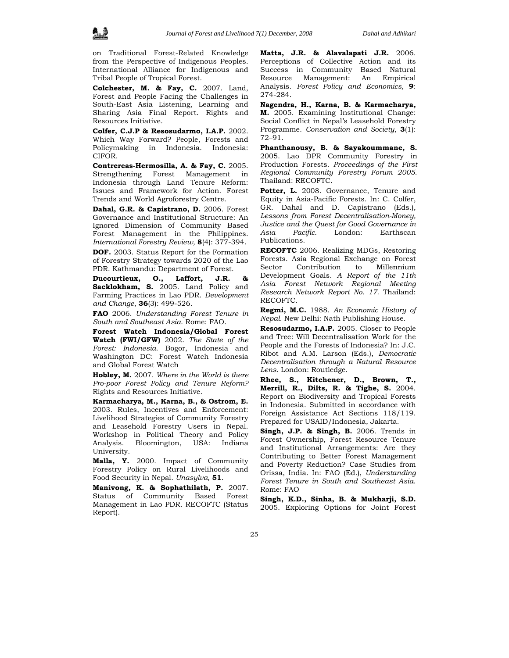

on Traditional Forest-Related Knowledge from the Perspective of Indigenous Peoples. International Alliance for Indigenous and Tribal People of Tropical Forest.

**Colchester, M. & Fay, C.** 2007. Land, Forest and People Facing the Challenges in South-East Asia Listening, Learning and Sharing Asia Final Report. Rights and Resources Initiative.

**Colfer, C.J.P & Resosudarmo, I.A.P.** 2002. Which Way Forward? People, Forests and Policymaking in Indonesia. Indonesia: CIFOR.

**Contrereas-Hermosilla, A. & Fay, C.** 2005. Strengthening Forest Management in Indonesia through Land Tenure Reform: Issues and Framework for Action. Forest Trends and World Agroforestry Centre.

**Dahal, G.R. & Capistrano, D.** 2006. Forest Governance and Institutional Structure: An Ignored Dimension of Community Based Forest Management in the Philippines. *International Forestry Review,* **8**(4): 377-394.

**DOF.** 2003. Status Report for the Formation of Forestry Strategy towards 2020 of the Lao PDR. Kathmandu: Department of Forest.

**Ducourtieux, O., Laffort, J.R. & Sacklokham, S.** 2005. Land Policy and Farming Practices in Lao PDR. *Development and Change*, **36**(3): 499-526.

**FAO** 2006. *Understanding Forest Tenure in South and Southeast Asia*. Rome: FAO.

**Forest Watch Indonesia/Global Forest Watch (FWI/GFW)** 2002. *The State of the Forest: Indonesia.* Bogor, Indonesia and Washington DC: Forest Watch Indonesia and Global Forest Watch

**Hobley, M.** 2007. *Where in the World is there Pro-poor Forest Policy and Tenure Reform?* Rights and Resources Initiative.

**Karmacharya, M., Karna, B., & Ostrom, E.** 2003. Rules, Incentives and Enforcement: Livelihood Strategies of Community Forestry and Leasehold Forestry Users in Nepal. Workshop in Political Theory and Policy Analysis. Bloomington, USA: Indiana University.

**Malla, Y.** 2000. Impact of Community Forestry Policy on Rural Livelihoods and Food Security in Nepal. *Unasylva,* **51**.

**Manivong, K. & Sophathilath, P.** 2007. Status of Community Based Forest Management in Lao PDR. RECOFTC (Status Report).

**Matta, J.R. & Alavalapati J.R.** 2006. Perceptions of Collective Action and its Success in Community Based Natural Resource Management: An Empirical Analysis. *Forest Policy and Economics,* **9**: 274-284.

**Nagendra, H., Karna, B. & Karmacharya, M.** 2005. Examining Institutional Change: Social Conflict in Nepal's Leasehold Forestry Programme. *Conservation and Society*, **3**(1): 72–91.

**Phanthanousy, B. & Sayakoummane, S.** 2005. Lao DPR Community Forestry in Production Forests. *Proceedings of the First Regional Community Forestry Forum 2005*. Thailand: RECOFTC.

Potter, L. 2008. Governance, Tenure and Equity in Asia-Pacific Forests. In: C. Colfer, GR. Dahal and D. Capistrano (Eds.), *Lessons from Forest Decentralisation-Money, Justice and the Quest for Good Governance in Asia Pacific.* London: Earthscan Publications.

**RECOFTC** 2006. Realizing MDGs, Restoring Forests. Asia Regional Exchange on Forest Sector Contribution to Millennium Development Goals. *A Report of the 11th Asia Forest Network Regional Meeting Research Network Report No. 17.* Thailand: RECOFTC.

**Regmi, M.C.** 1988. *An Economic History of Nepal*. New Delhi: Nath Publishing House.

**Resosudarmo, I.A.P.** 2005. Closer to People and Tree: Will Decentralisation Work for the People and the Forests of Indonesia? In: J.C. Ribot and A.M. Larson (Eds.), *Democratic Decentralisation through a Natural Resource Lens*. London: Routledge.

**Rhee, S., Kitchener, D., Brown, T., Merrill, R., Dilts, R. & Tighe, S.** 2004. Report on Biodiversity and Tropical Forests in Indonesia. Submitted in accordance with Foreign Assistance Act Sections 118/119. Prepared for USAID/Indonesia, Jakarta.

**Singh, J.P. & Singh, B.** 2006. Trends in Forest Ownership, Forest Resource Tenure and Institutional Arrangements: Are they Contributing to Better Forest Management and Poverty Reduction? Case Studies from Orissa, India. In: FAO (Ed.), *Understanding Forest Tenure in South and Southeast Asia*. Rome: FAO

**Singh, K.D., Sinha, B. & Mukharji, S.D.** 2005. Exploring Options for Joint Forest